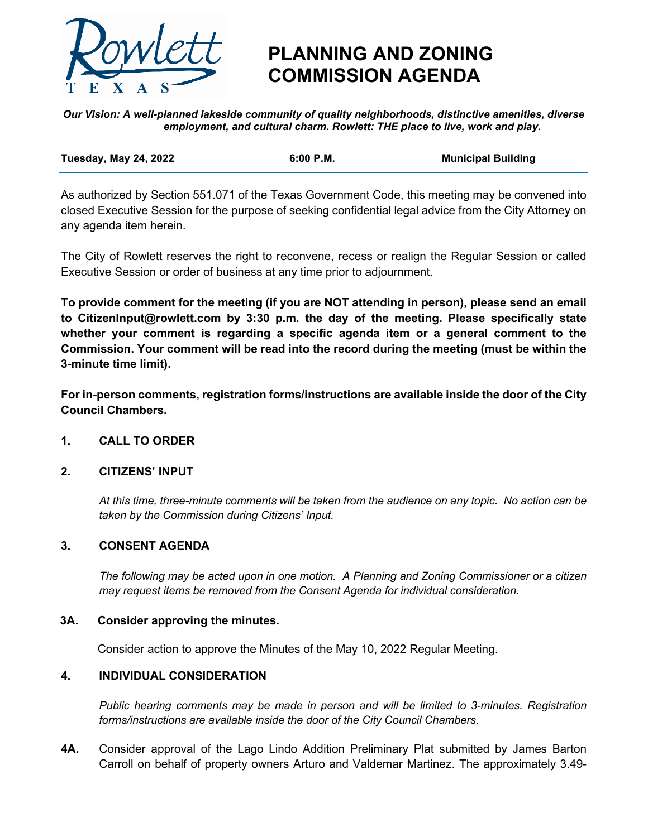

# **PLANNING AND ZONING COMMISSION AGENDA**

*Our Vision: A well-planned lakeside community of quality neighborhoods, distinctive amenities, diverse employment, and cultural charm. Rowlett: THE place to live, work and play.*

| <b>Tuesday, May 24, 2022</b> | 6:00 P.M. | <b>Municipal Building</b> |
|------------------------------|-----------|---------------------------|
|                              |           |                           |

As authorized by Section 551.071 of the Texas Government Code, this meeting may be convened into closed Executive Session for the purpose of seeking confidential legal advice from the City Attorney on any agenda item herein.

The City of Rowlett reserves the right to reconvene, recess or realign the Regular Session or called Executive Session or order of business at any time prior to adjournment.

**To provide comment for the meeting (if you are NOT attending in person), please send an email to CitizenInput@rowlett.com by 3:30 p.m. the day of the meeting. Please specifically state whether your comment is regarding a specific agenda item or a general comment to the Commission. Your comment will be read into the record during the meeting (must be within the 3-minute time limit).** 

**For in-person comments, registration forms/instructions are available inside the door of the City Council Chambers.**

### **1. CALL TO ORDER**

#### **2. CITIZENS' INPUT**

*At this time, three-minute comments will be taken from the audience on any topic. No action can be taken by the Commission during Citizens' Input.*

#### **3. CONSENT AGENDA**

*The following may be acted upon in one motion. A Planning and Zoning Commissioner or a citizen may request items be removed from the Consent Agenda for individual consideration.*

#### **3A. Consider approving the minutes.**

Consider action to approve the Minutes of the May 10, 2022 Regular Meeting.

#### **4. INDIVIDUAL CONSIDERATION**

*Public hearing comments may be made in person and will be limited to 3-minutes. Registration forms/instructions are available inside the door of the City Council Chambers.* 

**4A.** Consider approval of the Lago Lindo Addition Preliminary Plat submitted by James Barton Carroll on behalf of property owners Arturo and Valdemar Martinez. The approximately 3.49